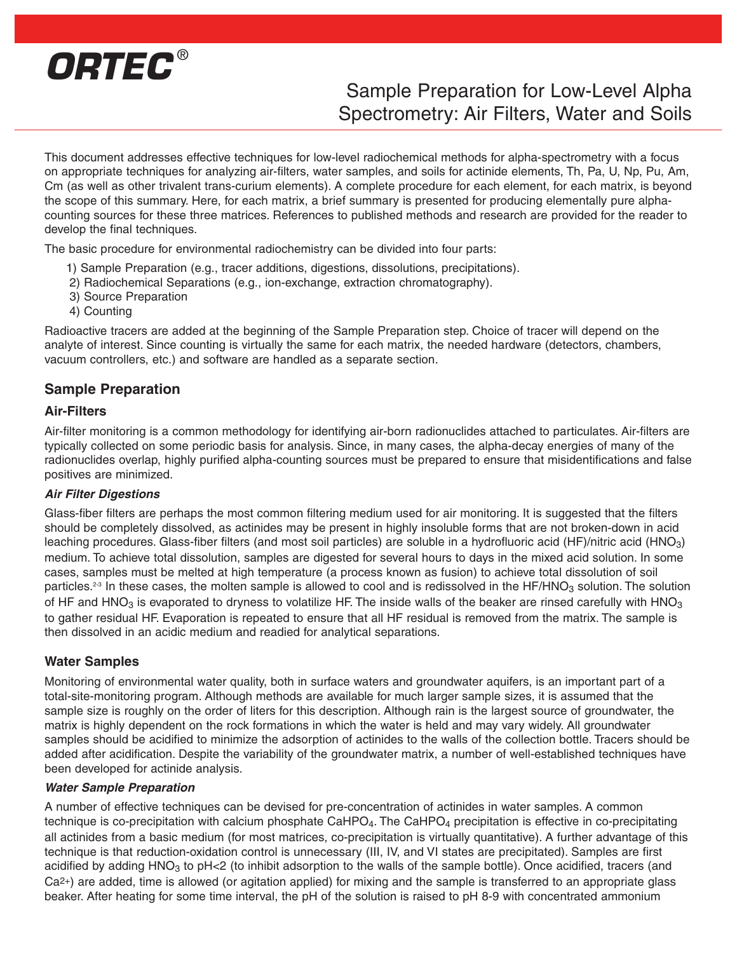

# Sample Preparation for Low-Level Alpha Spectrometry: Air Filters, Water and Soils

This document addresses effective techniques for low-level radiochemical methods for alpha-spectrometry with a focus on appropriate techniques for analyzing air-filters, water samples, and soils for actinide elements, Th, Pa, U, Np, Pu, Am, Cm (as well as other trivalent trans-curium elements). A complete procedure for each element, for each matrix, is beyond the scope of this summary. Here, for each matrix, a brief summary is presented for producing elementally pure alphacounting sources for these three matrices. References to published methods and research are provided for the reader to develop the final techniques.

The basic procedure for environmental radiochemistry can be divided into four parts:

- 1) Sample Preparation (e.g., tracer additions, digestions, dissolutions, precipitations).
- 2) Radiochemical Separations (e.g., ion-exchange, extraction chromatography).
- 3) Source Preparation
- 4) Counting

Radioactive tracers are added at the beginning of the Sample Preparation step. Choice of tracer will depend on the analyte of interest. Since counting is virtually the same for each matrix, the needed hardware (detectors, chambers, vacuum controllers, etc.) and software are handled as a separate section.

## **Sample Preparation**

### **Air-Filters**

Air-filter monitoring is a common methodology for identifying air-born radionuclides attached to particulates. Air-filters are typically collected on some periodic basis for analysis. Since, in many cases, the alpha-decay energies of many of the radionuclides overlap, highly purified alpha-counting sources must be prepared to ensure that misidentifications and false positives are minimized.

### **Air Filter Digestions**

Glass-fiber filters are perhaps the most common filtering medium used for air monitoring. It is suggested that the filters should be completely dissolved, as actinides may be present in highly insoluble forms that are not broken-down in acid leaching procedures. Glass-fiber filters (and most soil particles) are soluble in a hydrofluoric acid (HF)/nitric acid (HNO<sub>3</sub>) medium. To achieve total dissolution, samples are digested for several hours to days in the mixed acid solution. In some cases, samples must be melted at high temperature (a process known as fusion) to achieve total dissolution of soil particles.<sup>2-3</sup> In these cases, the molten sample is allowed to cool and is redissolved in the HF/HNO<sub>3</sub> solution. The solution of HF and HNO<sub>3</sub> is evaporated to dryness to volatilize HF. The inside walls of the beaker are rinsed carefully with HNO<sub>3</sub> to gather residual HF. Evaporation is repeated to ensure that all HF residual is removed from the matrix. The sample is then dissolved in an acidic medium and readied for analytical separations.

### **Water Samples**

Monitoring of environmental water quality, both in surface waters and groundwater aquifers, is an important part of a total-site-monitoring program. Although methods are available for much larger sample sizes, it is assumed that the sample size is roughly on the order of liters for this description. Although rain is the largest source of groundwater, the matrix is highly dependent on the rock formations in which the water is held and may vary widely. All groundwater samples should be acidified to minimize the adsorption of actinides to the walls of the collection bottle. Tracers should be added after acidification. Despite the variability of the groundwater matrix, a number of well-established techniques have been developed for actinide analysis.

### **Water Sample Preparation**

A number of effective techniques can be devised for pre-concentration of actinides in water samples. A common technique is co-precipitation with calcium phosphate CaHPO $_4$ . The CaHPO<sub>4</sub> precipitation is effective in co-precipitating all actinides from a basic medium (for most matrices, co-precipitation is virtually quantitative). A further advantage of this technique is that reduction-oxidation control is unnecessary (III, IV, and VI states are precipitated). Samples are first acidified by adding  $HNO<sub>3</sub>$  to pH<2 (to inhibit adsorption to the walls of the sample bottle). Once acidified, tracers (and Ca2+) are added, time is allowed (or agitation applied) for mixing and the sample is transferred to an appropriate glass beaker. After heating for some time interval, the pH of the solution is raised to pH 8-9 with concentrated ammonium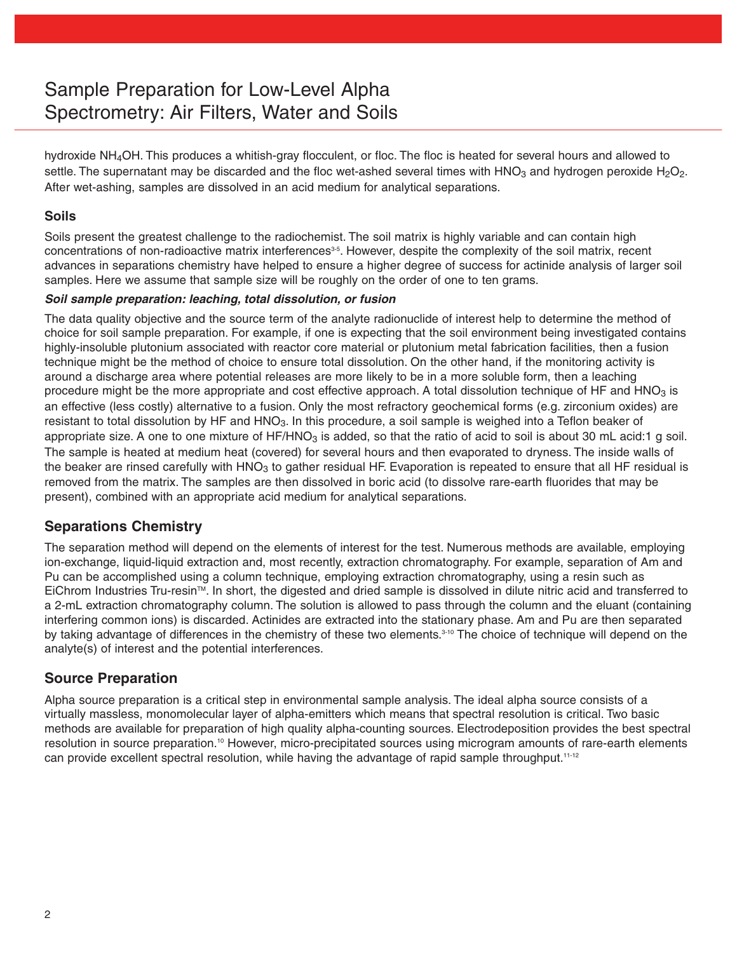# Sample Preparation for Low-Level Alpha Spectrometry: Air Filters, Water and Soils

hydroxide NH<sub>4</sub>OH. This produces a whitish-gray flocculent, or floc. The floc is heated for several hours and allowed to settle. The supernatant may be discarded and the floc wet-ashed several times with  $HNO<sub>3</sub>$  and hydrogen peroxide H<sub>2</sub>O<sub>2</sub>. After wet-ashing, samples are dissolved in an acid medium for analytical separations.

## **Soils**

Soils present the greatest challenge to the radiochemist. The soil matrix is highly variable and can contain high concentrations of non-radioactive matrix interferences<sup>35</sup>. However, despite the complexity of the soil matrix, recent advances in separations chemistry have helped to ensure a higher degree of success for actinide analysis of larger soil samples. Here we assume that sample size will be roughly on the order of one to ten grams.

### **Soil sample preparation: leaching, total dissolution, or fusion**

The data quality objective and the source term of the analyte radionuclide of interest help to determine the method of choice for soil sample preparation. For example, if one is expecting that the soil environment being investigated contains highly-insoluble plutonium associated with reactor core material or plutonium metal fabrication facilities, then a fusion technique might be the method of choice to ensure total dissolution. On the other hand, if the monitoring activity is around a discharge area where potential releases are more likely to be in a more soluble form, then a leaching procedure might be the more appropriate and cost effective approach. A total dissolution technique of HF and  $HNO<sub>3</sub>$  is an effective (less costly) alternative to a fusion. Only the most refractory geochemical forms (e.g. zirconium oxides) are resistant to total dissolution by HF and HNO<sub>3</sub>. In this procedure, a soil sample is weighed into a Teflon beaker of appropriate size. A one to one mixture of  $HF/HNO<sub>3</sub>$  is added, so that the ratio of acid to soil is about 30 mL acid:1 g soil. The sample is heated at medium heat (covered) for several hours and then evaporated to dryness. The inside walls of the beaker are rinsed carefully with  $HNO<sub>3</sub>$  to gather residual HF. Evaporation is repeated to ensure that all HF residual is removed from the matrix. The samples are then dissolved in boric acid (to dissolve rare-earth fluorides that may be present), combined with an appropriate acid medium for analytical separations.

## **Separations Chemistry**

The separation method will depend on the elements of interest for the test. Numerous methods are available, employing ion-exchange, liquid-liquid extraction and, most recently, extraction chromatography. For example, separation of Am and Pu can be accomplished using a column technique, employing extraction chromatography, using a resin such as EiChrom Industries Tru-resin™. In short, the digested and dried sample is dissolved in dilute nitric acid and transferred to a 2-mL extraction chromatography column. The solution is allowed to pass through the column and the eluant (containing interfering common ions) is discarded. Actinides are extracted into the stationary phase. Am and Pu are then separated by taking advantage of differences in the chemistry of these two elements.<sup>3-10</sup> The choice of technique will depend on the analyte(s) of interest and the potential interferences.

# **Source Preparation**

Alpha source preparation is a critical step in environmental sample analysis. The ideal alpha source consists of a virtually massless, monomolecular layer of alpha-emitters which means that spectral resolution is critical. Two basic methods are available for preparation of high quality alpha-counting sources. Electrodeposition provides the best spectral resolution in source preparation.10 However, micro-precipitated sources using microgram amounts of rare-earth elements can provide excellent spectral resolution, while having the advantage of rapid sample throughput.<sup>11-12</sup>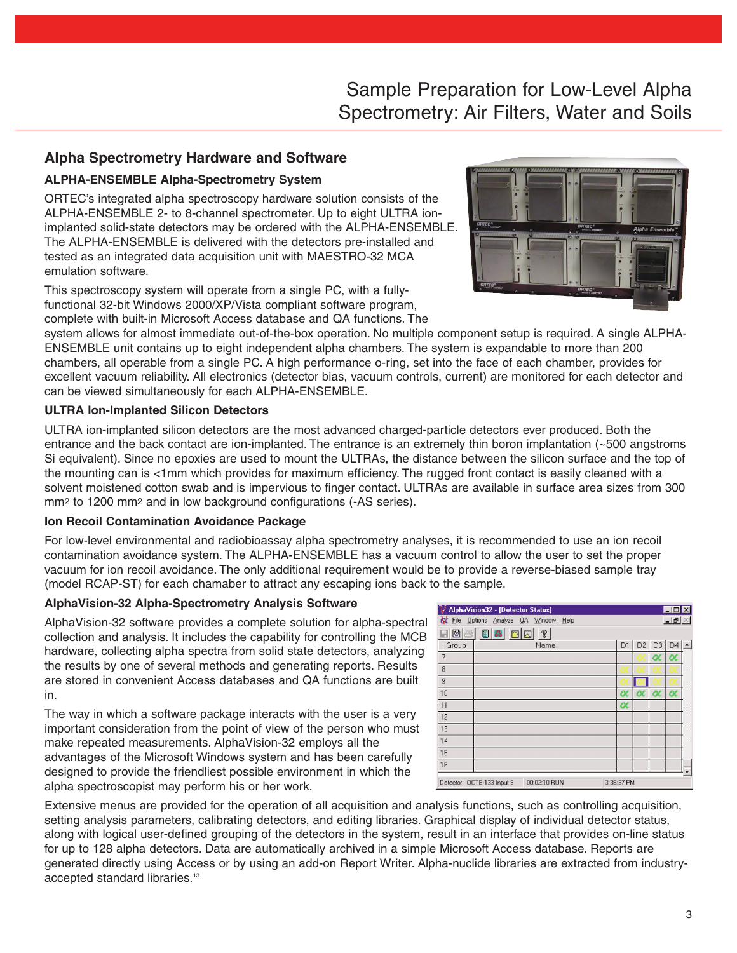# Sample Preparation for Low-Level Alpha Spectrometry: Air Filters, Water and Soils

# **Alpha Spectrometry Hardware and Software**

## **ALPHA-ENSEMBLE Alpha-Spectrometry System**

ORTEC's integrated alpha spectroscopy hardware solution consists of the ALPHA-ENSEMBLE 2- to 8-channel spectrometer. Up to eight ULTRA ionimplanted solid-state detectors may be ordered with the ALPHA-ENSEMBLE. The ALPHA-ENSEMBLE is delivered with the detectors pre-installed and tested as an integrated data acquisition unit with MAESTRO-32 MCA emulation software.

This spectroscopy system will operate from a single PC, with a fullyfunctional 32-bit Windows 2000/XP/Vista compliant software program, complete with built-in Microsoft Access database and QA functions. The



system allows for almost immediate out-of-the-box operation. No multiple component setup is required. A single ALPHA-ENSEMBLE unit contains up to eight independent alpha chambers. The system is expandable to more than 200 chambers, all operable from a single PC. A high performance o-ring, set into the face of each chamber, provides for excellent vacuum reliability. All electronics (detector bias, vacuum controls, current) are monitored for each detector and can be viewed simultaneously for each ALPHA-ENSEMBLE.

## **ULTRA Ion-Implanted Silicon Detectors**

ULTRA ion-implanted silicon detectors are the most advanced charged-particle detectors ever produced. Both the entrance and the back contact are ion-implanted. The entrance is an extremely thin boron implantation (~500 angstroms Si equivalent). Since no epoxies are used to mount the ULTRAs, the distance between the silicon surface and the top of the mounting can is <1mm which provides for maximum efficiency. The rugged front contact is easily cleaned with a solvent moistened cotton swab and is impervious to finger contact. ULTRAs are available in surface area sizes from 300 mm2 to 1200 mm2 and in low background configurations (-AS series).

### **Ion Recoil Contamination Avoidance Package**

For low-level environmental and radiobioassay alpha spectrometry analyses, it is recommended to use an ion recoil contamination avoidance system. The ALPHA-ENSEMBLE has a vacuum control to allow the user to set the proper vacuum for ion recoil avoidance. The only additional requirement would be to provide a reverse-biased sample tray (model RCAP-ST) for each chamaber to attract any escaping ions back to the sample.

## **AlphaVision-32 Alpha-Spectrometry Analysis Software**

AlphaVision-32 software provides a complete solution for alpha-spectral collection and analysis. It includes the capability for controlling the MCB hardware, collecting alpha spectra from solid state detectors, analyzing the results by one of several methods and generating reports. Results are stored in convenient Access databases and QA functions are built in.

The way in which a software package interacts with the user is a very important consideration from the point of view of the person who must make repeated measurements. AlphaVision-32 employs all the advantages of the Microsoft Windows system and has been carefully designed to provide the friendliest possible environment in which the alpha spectroscopist may perform his or her work.



Extensive menus are provided for the operation of all acquisition and analysis functions, such as controlling acquisition, setting analysis parameters, calibrating detectors, and editing libraries. Graphical display of individual detector status, along with logical user-defined grouping of the detectors in the system, result in an interface that provides on-line status for up to 128 alpha detectors. Data are automatically archived in a simple Microsoft Access database. Reports are generated directly using Access or by using an add-on Report Writer. Alpha-nuclide libraries are extracted from industryaccepted standard libraries.<sup>13</sup>